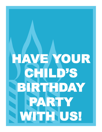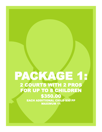#### PACKAGE 1:<br>2 COURTS WITH 2 PROS FOR UP TO 8 CHILDREN \$350.00 EACH ADDITIONAL CHILD \$30 PP MAXIMUM 11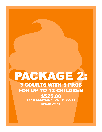## PACKAGE 2: FOR UP TO 12 CHILDREN **\$525.00**<br>EACH ADDITIONAL CHILD \$30 PP MAXIMUM 18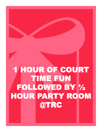# 1 HOUR OF COURT TIME FUN FOLLOWED BY ½ HOUR PARTY ROOM @TRC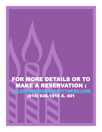#### FOR MORE DETAILS OR TO MAKE A RESERVATION : EBROOKFITNESS.COM (914) 636-1019 X. 401